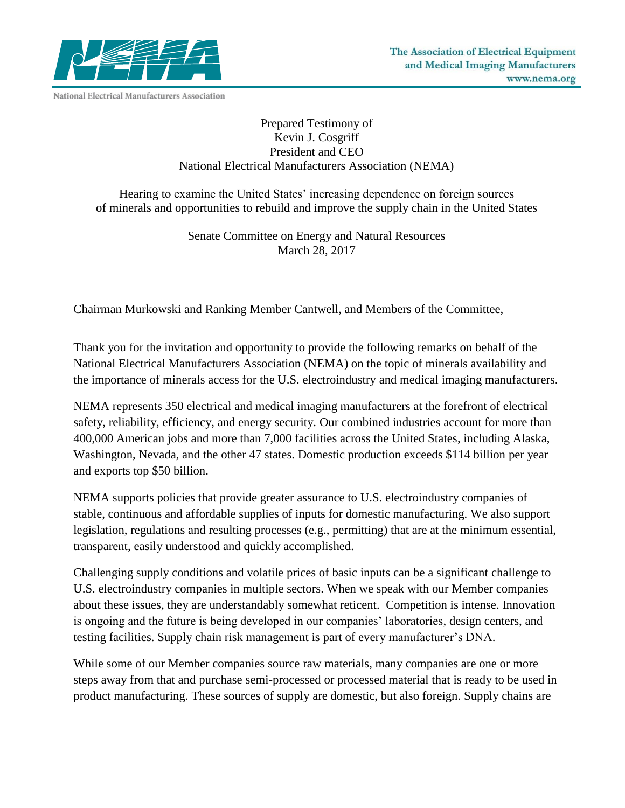

## Prepared Testimony of Kevin J. Cosgriff President and CEO National Electrical Manufacturers Association (NEMA)

Hearing to examine the United States' increasing dependence on foreign sources of minerals and opportunities to rebuild and improve the supply chain in the United States

> Senate Committee on Energy and Natural Resources March 28, 2017

Chairman Murkowski and Ranking Member Cantwell, and Members of the Committee,

Thank you for the invitation and opportunity to provide the following remarks on behalf of the National Electrical Manufacturers Association (NEMA) on the topic of minerals availability and the importance of minerals access for the U.S. electroindustry and medical imaging manufacturers.

NEMA represents 350 electrical and medical imaging manufacturers at the forefront of electrical safety, reliability, efficiency, and energy security. Our combined industries account for more than 400,000 American jobs and more than 7,000 facilities across the United States, including Alaska, Washington, Nevada, and the other 47 states. Domestic production exceeds \$114 billion per year and exports top \$50 billion.

NEMA supports policies that provide greater assurance to U.S. electroindustry companies of stable, continuous and affordable supplies of inputs for domestic manufacturing. We also support legislation, regulations and resulting processes (e.g., permitting) that are at the minimum essential, transparent, easily understood and quickly accomplished.

Challenging supply conditions and volatile prices of basic inputs can be a significant challenge to U.S. electroindustry companies in multiple sectors. When we speak with our Member companies about these issues, they are understandably somewhat reticent. Competition is intense. Innovation is ongoing and the future is being developed in our companies' laboratories, design centers, and testing facilities. Supply chain risk management is part of every manufacturer's DNA.

While some of our Member companies source raw materials, many companies are one or more steps away from that and purchase semi-processed or processed material that is ready to be used in product manufacturing. These sources of supply are domestic, but also foreign. Supply chains are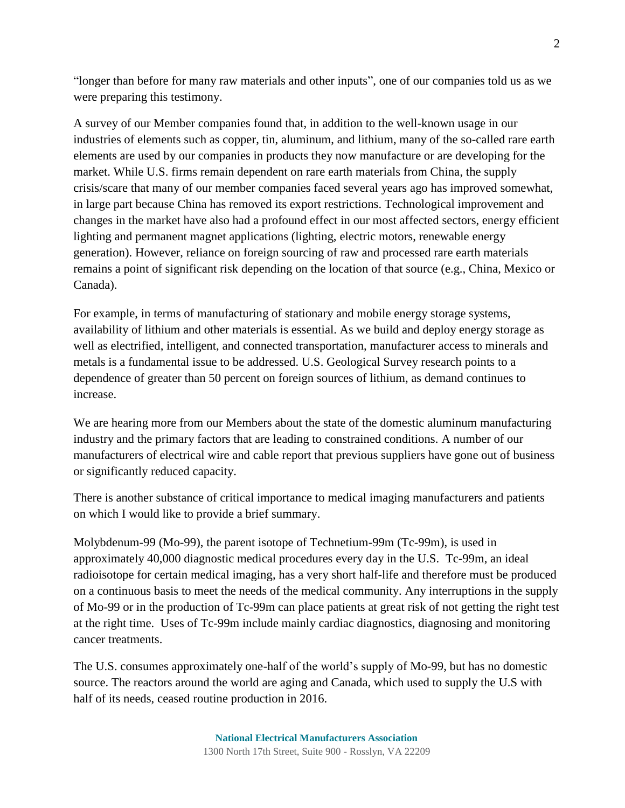"longer than before for many raw materials and other inputs", one of our companies told us as we were preparing this testimony.

A survey of our Member companies found that, in addition to the well-known usage in our industries of elements such as copper, tin, aluminum, and lithium, many of the so-called rare earth elements are used by our companies in products they now manufacture or are developing for the market. While U.S. firms remain dependent on rare earth materials from China, the supply crisis/scare that many of our member companies faced several years ago has improved somewhat, in large part because China has removed its export restrictions. Technological improvement and changes in the market have also had a profound effect in our most affected sectors, energy efficient lighting and permanent magnet applications (lighting, electric motors, renewable energy generation). However, reliance on foreign sourcing of raw and processed rare earth materials remains a point of significant risk depending on the location of that source (e.g., China, Mexico or Canada).

For example, in terms of manufacturing of stationary and mobile energy storage systems, availability of lithium and other materials is essential. As we build and deploy energy storage as well as electrified, intelligent, and connected transportation, manufacturer access to minerals and metals is a fundamental issue to be addressed. U.S. Geological Survey research points to a dependence of greater than 50 percent on foreign sources of lithium, as demand continues to increase.

We are hearing more from our Members about the state of the domestic aluminum manufacturing industry and the primary factors that are leading to constrained conditions. A number of our manufacturers of electrical wire and cable report that previous suppliers have gone out of business or significantly reduced capacity.

There is another substance of critical importance to medical imaging manufacturers and patients on which I would like to provide a brief summary.

Molybdenum-99 (Mo-99), the parent isotope of Technetium-99m (Tc-99m), is used in approximately 40,000 diagnostic medical procedures every day in the U.S. Tc-99m, an ideal radioisotope for certain medical imaging, has a very short half-life and therefore must be produced on a continuous basis to meet the needs of the medical community. Any interruptions in the supply of Mo-99 or in the production of Tc-99m can place patients at great risk of not getting the right test at the right time. Uses of Tc-99m include mainly cardiac diagnostics, diagnosing and monitoring cancer treatments.

The U.S. consumes approximately one-half of the world's supply of Mo-99, but has no domestic source. The reactors around the world are aging and Canada, which used to supply the U.S with half of its needs, ceased routine production in 2016.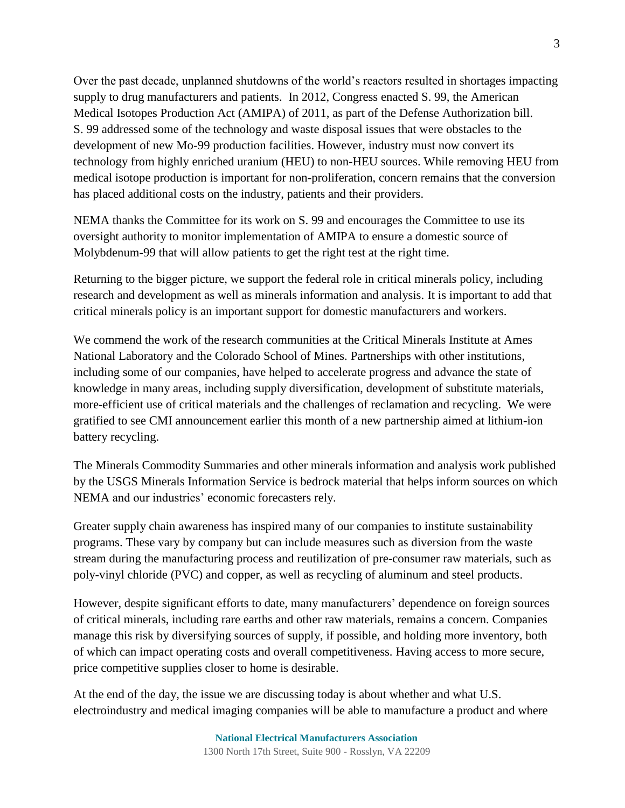Over the past decade, unplanned shutdowns of the world's reactors resulted in shortages impacting supply to drug manufacturers and patients. In 2012, Congress enacted S. 99, the American Medical Isotopes Production Act (AMIPA) of 2011, as part of the Defense Authorization bill. S. 99 addressed some of the technology and waste disposal issues that were obstacles to the development of new Mo-99 production facilities. However, industry must now convert its technology from highly enriched uranium (HEU) to non-HEU sources. While removing HEU from medical isotope production is important for non-proliferation, concern remains that the conversion has placed additional costs on the industry, patients and their providers.

NEMA thanks the Committee for its work on S. 99 and encourages the Committee to use its oversight authority to monitor implementation of AMIPA to ensure a domestic source of Molybdenum-99 that will allow patients to get the right test at the right time.

Returning to the bigger picture, we support the federal role in critical minerals policy, including research and development as well as minerals information and analysis. It is important to add that critical minerals policy is an important support for domestic manufacturers and workers.

We commend the work of the research communities at the Critical Minerals Institute at Ames National Laboratory and the Colorado School of Mines. Partnerships with other institutions, including some of our companies, have helped to accelerate progress and advance the state of knowledge in many areas, including supply diversification, development of substitute materials, more-efficient use of critical materials and the challenges of reclamation and recycling. We were gratified to see CMI announcement earlier this month of a new partnership aimed at lithium-ion battery recycling.

The Minerals Commodity Summaries and other minerals information and analysis work published by the USGS Minerals Information Service is bedrock material that helps inform sources on which NEMA and our industries' economic forecasters rely.

Greater supply chain awareness has inspired many of our companies to institute sustainability programs. These vary by company but can include measures such as diversion from the waste stream during the manufacturing process and reutilization of pre-consumer raw materials, such as poly-vinyl chloride (PVC) and copper, as well as recycling of aluminum and steel products.

However, despite significant efforts to date, many manufacturers' dependence on foreign sources of critical minerals, including rare earths and other raw materials, remains a concern. Companies manage this risk by diversifying sources of supply, if possible, and holding more inventory, both of which can impact operating costs and overall competitiveness. Having access to more secure, price competitive supplies closer to home is desirable.

At the end of the day, the issue we are discussing today is about whether and what U.S. electroindustry and medical imaging companies will be able to manufacture a product and where